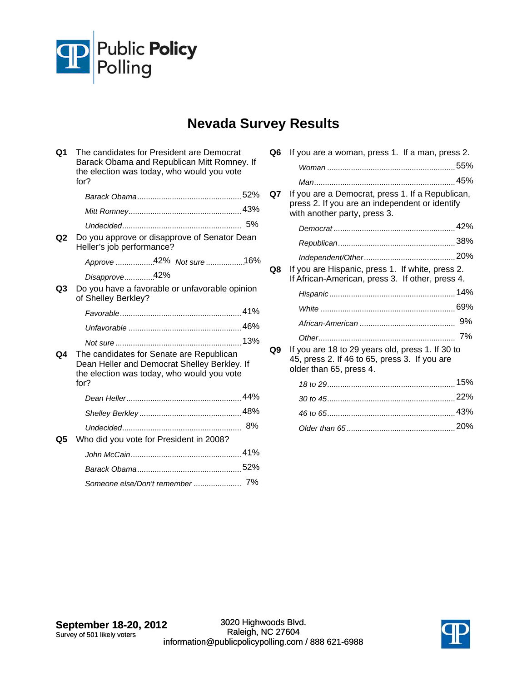

## **Nevada Survey Results**

| Q1             | The candidates for President are Democrat<br>Barack Obama and Republican Mitt Romney. If<br>the election was today, who would you vote<br>for? |    |
|----------------|------------------------------------------------------------------------------------------------------------------------------------------------|----|
|                |                                                                                                                                                |    |
|                |                                                                                                                                                |    |
|                | Undecided                                                                                                                                      | 5% |
| Q <sub>2</sub> | Do you approve or disapprove of Senator Dean<br>Heller's job performance?                                                                      |    |
|                | Approve 42% Not sure 16%                                                                                                                       |    |
|                | Disapprove42%                                                                                                                                  |    |
| Q3             | Do you have a favorable or unfavorable opinion<br>of Shelley Berkley?                                                                          |    |
|                |                                                                                                                                                |    |
|                |                                                                                                                                                |    |
|                |                                                                                                                                                |    |
| Q4             | The candidates for Senate are Republican<br>Dean Heller and Democrat Shelley Berkley. If<br>the election was today, who would you vote<br>for? |    |
|                |                                                                                                                                                |    |
|                |                                                                                                                                                |    |
|                |                                                                                                                                                |    |
| Q5             | Who did you vote for President in 2008?                                                                                                        |    |
|                |                                                                                                                                                |    |
|                |                                                                                                                                                |    |
|                | Someone else/Don't remember  7%                                                                                                                |    |
|                |                                                                                                                                                |    |

| Q6 | If you are a woman, press 1. If a man, press 2.                                                                                    |    |
|----|------------------------------------------------------------------------------------------------------------------------------------|----|
|    |                                                                                                                                    |    |
|    |                                                                                                                                    |    |
| Q7 | If you are a Democrat, press 1. If a Republican,<br>press 2. If you are an independent or identify<br>with another party, press 3. |    |
|    |                                                                                                                                    |    |
|    |                                                                                                                                    |    |
|    |                                                                                                                                    |    |
| Q8 | If you are Hispanic, press 1. If white, press 2.<br>If African-American, press 3. If other, press 4.                               |    |
|    |                                                                                                                                    |    |
|    |                                                                                                                                    |    |
|    |                                                                                                                                    | 9% |
|    |                                                                                                                                    | 7% |
| Q9 | If you are 18 to 29 years old, press 1. If 30 to<br>45, press 2. If 46 to 65, press 3. If you are<br>older than 65, press 4.       |    |
|    |                                                                                                                                    |    |
|    |                                                                                                                                    |    |
|    |                                                                                                                                    |    |
|    |                                                                                                                                    |    |
|    |                                                                                                                                    |    |

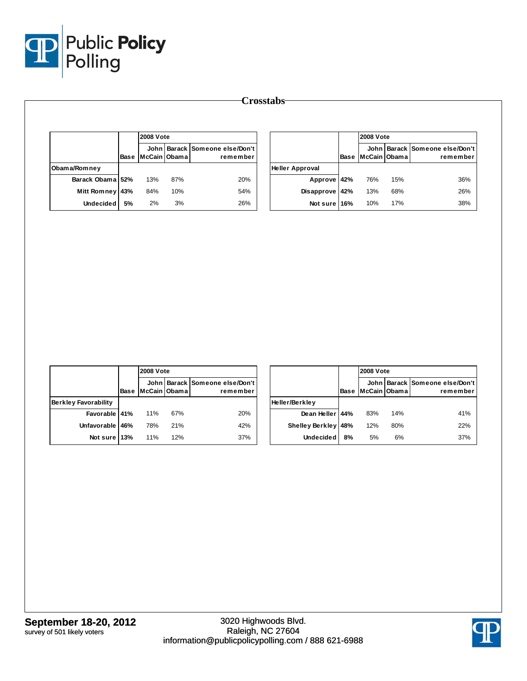

|                    |      | <b>2008 Vote</b> |     |                                            |  |  |
|--------------------|------|------------------|-----|--------------------------------------------|--|--|
|                    | Base | McCain Obama     |     | John Barack Someone else/Don't<br>remember |  |  |
| Obama/Romney       |      |                  |     |                                            |  |  |
| Barack Obama 52%   |      | 13%              | 87% | 20%                                        |  |  |
| <b>Mitt Romney</b> | 43%  | 84%              | 10% | 54%                                        |  |  |
| <b>Undecided</b>   | 5%   | 2%               | 3%  | 26%                                        |  |  |

|                        |             |              | <b>2008 Vote</b> |                                            |  |  |  |
|------------------------|-------------|--------------|------------------|--------------------------------------------|--|--|--|
|                        | <b>Base</b> | McCain Obama |                  | John Barack Someone else/Don't<br>remember |  |  |  |
| <b>Heller Approval</b> |             |              |                  |                                            |  |  |  |
| Approve 42%            |             | 76%          | 15%              | 36%                                        |  |  |  |
| Disapprove 42%         |             | 13%          | 68%              | 26%                                        |  |  |  |
| Not sure 16%           |             | 10%          | 17%              | 38%                                        |  |  |  |

|                             |      |              | <b>2008 Vote</b> |                                            |  |  |  |
|-----------------------------|------|--------------|------------------|--------------------------------------------|--|--|--|
|                             | Base | McCain Obama |                  | John Barack Someone else/Don't<br>remember |  |  |  |
| <b>Berkley Favorability</b> |      |              |                  |                                            |  |  |  |
| Favorable 41%               |      | 11%          | 67%              | 20%                                        |  |  |  |
| Unfavorable 46%             |      | 78%          | 21%              | 42%                                        |  |  |  |
| Not sure 13%                |      | 11%          | 12%              | 37%                                        |  |  |  |

|                        |      |              | <b>2008 Vote</b> |                                            |  |  |  |
|------------------------|------|--------------|------------------|--------------------------------------------|--|--|--|
|                        | Base | McCain Obama |                  | John Barack Someone else/Don't<br>remember |  |  |  |
| Heller/Berkley         |      |              |                  |                                            |  |  |  |
| Dean Heller   44%      |      | 83%          | 14%              | 41%                                        |  |  |  |
| <b>Shelley Berkley</b> | 48%  | 12%          | 80%              | 22%                                        |  |  |  |
| <b>Undecided</b>       | 8%   | 5%           | 6%               | 37%                                        |  |  |  |

**Crosstabs**

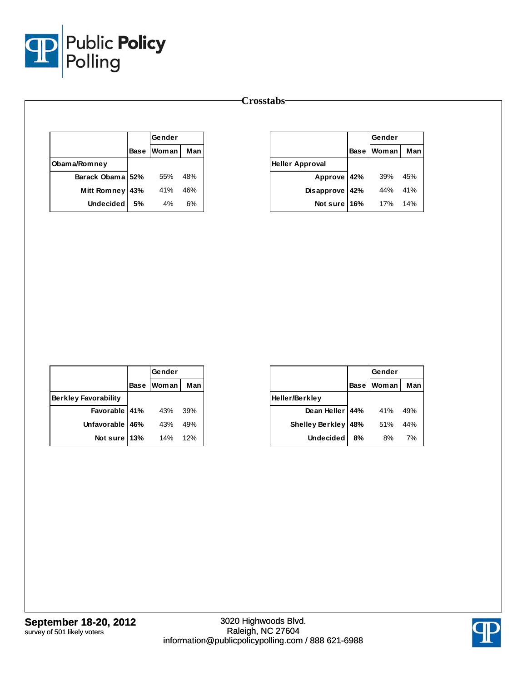

## **Crosstabs**

|                    |     | Gender            |     |
|--------------------|-----|-------------------|-----|
|                    |     | <b>Base Woman</b> | Man |
| Obama/Romney       |     |                   |     |
| Barack Obama 52%   |     | 55%               | 48% |
| <b>Mitt Romney</b> | 43% | 41%               | 46% |
| Undecided          | .5% | 4%                | 6%  |

|                        |             | Gender       |     |
|------------------------|-------------|--------------|-----|
|                        | <b>Base</b> | <b>Woman</b> | Man |
| <b>Heller Approval</b> |             |              |     |
| Approve 42%            |             | 39%          | 45% |
| Disapprove             | 42%         | 44%          | 41% |
| Not sure               | 16%         | 17%          | 14% |

|                             |     | Gender       |     |
|-----------------------------|-----|--------------|-----|
|                             |     | Base   Woman | Man |
| <b>Berkley Favorability</b> |     |              |     |
| Favorable 41%               |     | 43%          | 39% |
| Unfavorable   46%           |     | 43%          | 49% |
| Not sure                    | 13% | 14%          | 12% |

|                        |             | Gender       |     |
|------------------------|-------------|--------------|-----|
|                        | <b>Base</b> | <b>Woman</b> | Man |
| Heller/Berkley         |             |              |     |
| Dean Heller 44%        |             | 41%          | 49% |
| <b>Shelley Berkley</b> | 48%         | 51%          | 44% |
| <b>Undecided</b>       | 8%          | 8%           | 7%  |

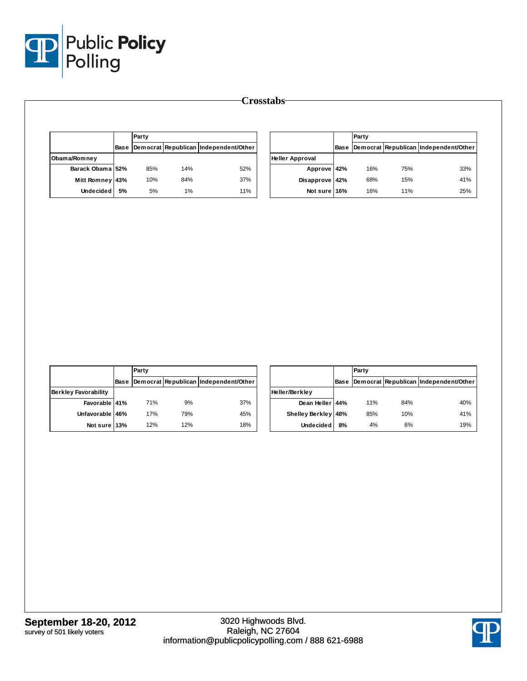

|                  |             | Party |     |                                       |                        | Party |     |                                            |
|------------------|-------------|-------|-----|---------------------------------------|------------------------|-------|-----|--------------------------------------------|
|                  | <b>Base</b> |       |     | Democrat Republican Independent/Other |                        |       |     | Base Democrat Republican Independent/Other |
| Obama/Romney     |             |       |     |                                       | <b>Heller Approval</b> |       |     |                                            |
| Barack Obama 52% |             | 85%   | 14% | 52%                                   | Approve 42%            | 16%   | 75% | 33%                                        |
| Mitt Romney 43%  |             | 10%   | 84% | 37%                                   | Disapprove 42%         | 68%   | 15% | 41%                                        |
| <b>Undecided</b> | 5%          | 5%    | 1%  | 11%                                   | Not sure 16%           | 16%   | 11% | 25%                                        |

|                             |      | Party |     |                                       |  |  |  |
|-----------------------------|------|-------|-----|---------------------------------------|--|--|--|
|                             | Base |       |     | Democrat Republican Independent/Other |  |  |  |
| <b>Berkley Favorability</b> |      |       |     |                                       |  |  |  |
| Favorable 41%               |      | 71%   | 9%  | 37%                                   |  |  |  |
| Unfavorable 46%             |      | 17%   | 79% | 45%                                   |  |  |  |
| Not sure 13%                |      | 12%   | 12% | 18%                                   |  |  |  |

|                     |             | Party |     |                                       |  |  |  |  |  |  |
|---------------------|-------------|-------|-----|---------------------------------------|--|--|--|--|--|--|
|                     | <b>Base</b> |       |     | Democrat Republican Independent/Other |  |  |  |  |  |  |
| Heller/Berkley      |             |       |     |                                       |  |  |  |  |  |  |
| Dean Heller 44%     |             | 11%   | 84% | 40%                                   |  |  |  |  |  |  |
| Shelley Berkley 48% |             | 85%   | 10% | 41%                                   |  |  |  |  |  |  |
| <b>Undecided</b>    | 8%          | 4%    | 6%  | 19%                                   |  |  |  |  |  |  |

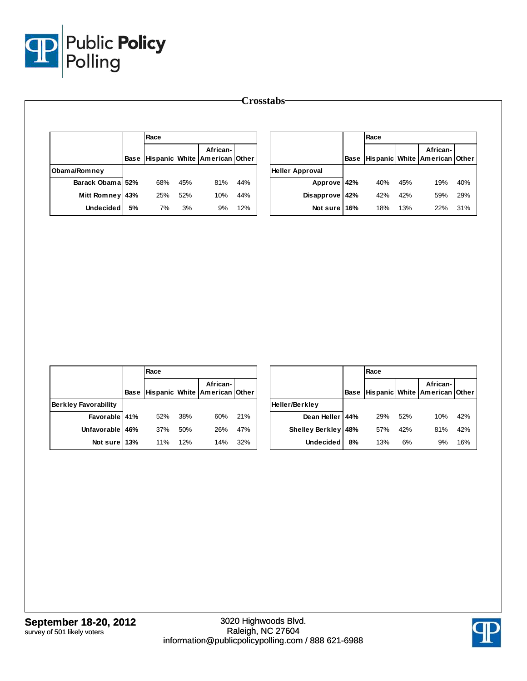

| Crosstabs <sup>-</sup> |    |      |     |                                                        |     |                        |             |      |     |                                           |     |
|------------------------|----|------|-----|--------------------------------------------------------|-----|------------------------|-------------|------|-----|-------------------------------------------|-----|
|                        |    | Race |     |                                                        |     |                        |             | Race |     |                                           |     |
|                        |    |      |     | African-<br>Base   Hispanic   White   American   Other |     |                        | <b>Base</b> |      |     | African-<br>Hispanic White American Other |     |
| Obama/Romney           |    |      |     |                                                        |     | <b>Heller Approval</b> |             |      |     |                                           |     |
| Barack Obama 52%       |    | 68%  | 45% | 81%                                                    | 44% | Approve 42%            |             | 40%  | 45% | 19%                                       | 40% |
| Mitt Romney 43%        |    | 25%  | 52% | 10%                                                    | 44% | Disapprove 42%         |             | 42%  | 42% | 59%                                       | 29% |
| <b>Undecided</b>       | 5% | 7%   | 3%  | 9%                                                     | 12% | Not sure I             | 16%         | 18%  | 13% | 22%                                       | 31% |

|                      | Race |     |                                                        |     |                     | Race |     |     |                                                        |     |
|----------------------|------|-----|--------------------------------------------------------|-----|---------------------|------|-----|-----|--------------------------------------------------------|-----|
|                      |      |     | African-<br>Base   Hispanic   White   American   Other |     |                     |      |     |     | African-<br> Base  Hispanic   White   American   Other |     |
| Berkley Favorability |      |     |                                                        |     | Heller/Berkley      |      |     |     |                                                        |     |
| Favorable 41%        | 52%  | 38% | 60%                                                    | 21% | Dean Heller   44%   |      | 29% | 52% | 10%                                                    | 42% |
| Unfavorable 46%      | 37%  | 50% | 26%                                                    | 47% | Shelley Berkley 48% |      | 57% | 42% | 81%                                                    | 42% |
| Not sure 13%         | 11%  | 12% | 14%                                                    | 32% | Undecided           | 8%   | 13% | 6%  | 9%                                                     | 16% |